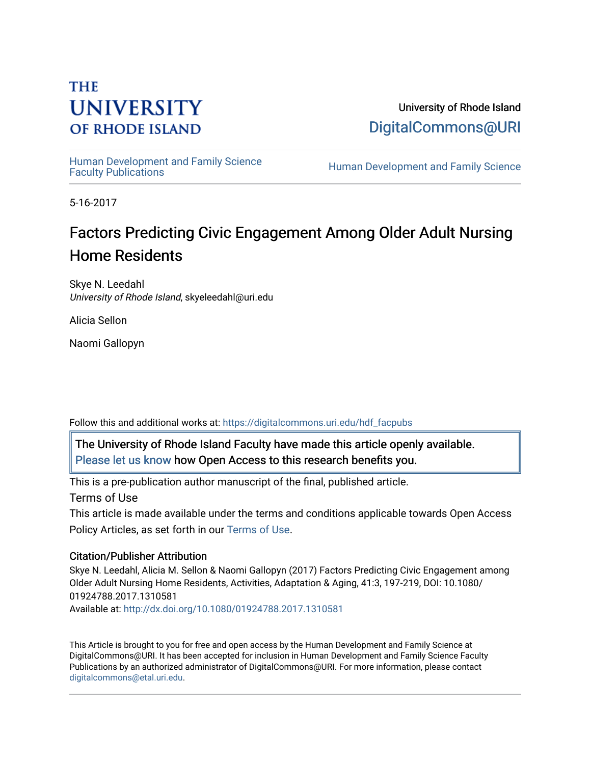# **THE UNIVERSITY OF RHODE ISLAND**

University of Rhode Island [DigitalCommons@URI](https://digitalcommons.uri.edu/) 

Human Development and Family Science<br>Faculty Publications

Human Development and Family Science

5-16-2017

# Factors Predicting Civic Engagement Among Older Adult Nursing Home Residents

Skye N. Leedahl University of Rhode Island, skyeleedahl@uri.edu

Alicia Sellon

Naomi Gallopyn

Follow this and additional works at: [https://digitalcommons.uri.edu/hdf\\_facpubs](https://digitalcommons.uri.edu/hdf_facpubs?utm_source=digitalcommons.uri.edu%2Fhdf_facpubs%2F35&utm_medium=PDF&utm_campaign=PDFCoverPages) 

The University of Rhode Island Faculty have made this article openly available. [Please let us know](http://web.uri.edu/library-digital-initiatives/open-access-online-form/) how Open Access to this research benefits you.

This is a pre-publication author manuscript of the final, published article.

Terms of Use

This article is made available under the terms and conditions applicable towards Open Access Policy Articles, as set forth in our [Terms of Use](https://digitalcommons.uri.edu/hdf_facpubs/oa_policy_terms.html).

## Citation/Publisher Attribution

Skye N. Leedahl, Alicia M. Sellon & Naomi Gallopyn (2017) Factors Predicting Civic Engagement among Older Adult Nursing Home Residents, Activities, Adaptation & Aging, 41:3, 197-219, DOI: 10.1080/ 01924788.2017.1310581 Available at:<http://dx.doi.org/10.1080/01924788.2017.1310581>

This Article is brought to you for free and open access by the Human Development and Family Science at DigitalCommons@URI. It has been accepted for inclusion in Human Development and Family Science Faculty Publications by an authorized administrator of DigitalCommons@URI. For more information, please contact [digitalcommons@etal.uri.edu](mailto:digitalcommons@etal.uri.edu).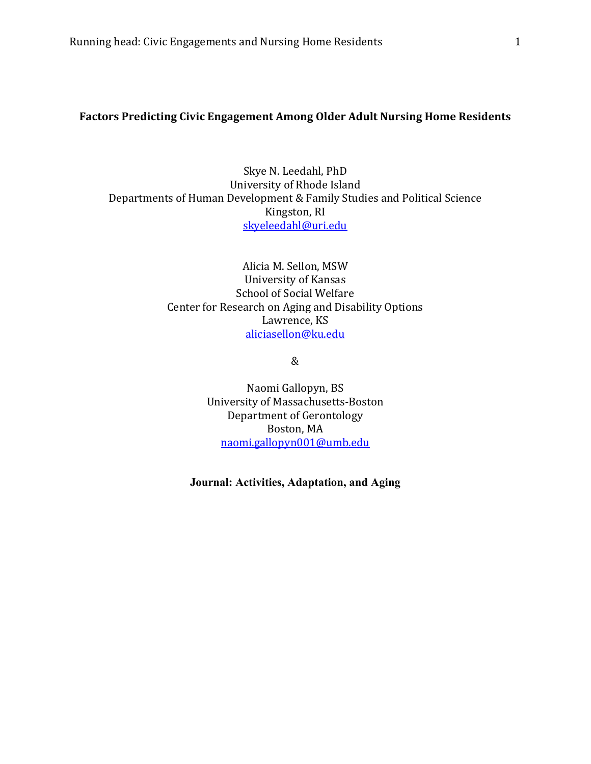## **Factors Predicting Civic Engagement Among Older Adult Nursing Home Residents**

Skye N. Leedahl, PhD University of Rhode Island Departments of Human Development & Family Studies and Political Science Kingston, RI [skyeleedahl@uri.edu](mailto:skyeleedahl@uri.edu)

> Alicia M. Sellon, MSW University of Kansas School of Social Welfare Center for Research on Aging and Disability Options Lawrence, KS [aliciasellon@ku.edu](mailto:sellonal@gmail.com)

> > &

Naomi Gallopyn, BS University of Massachusetts-Boston Department of Gerontology Boston, MA [naomi.gallopyn001@umb.edu](mailto:naomi.gallopyn001@umb.edu)

**Journal: Activities, Adaptation, and Aging**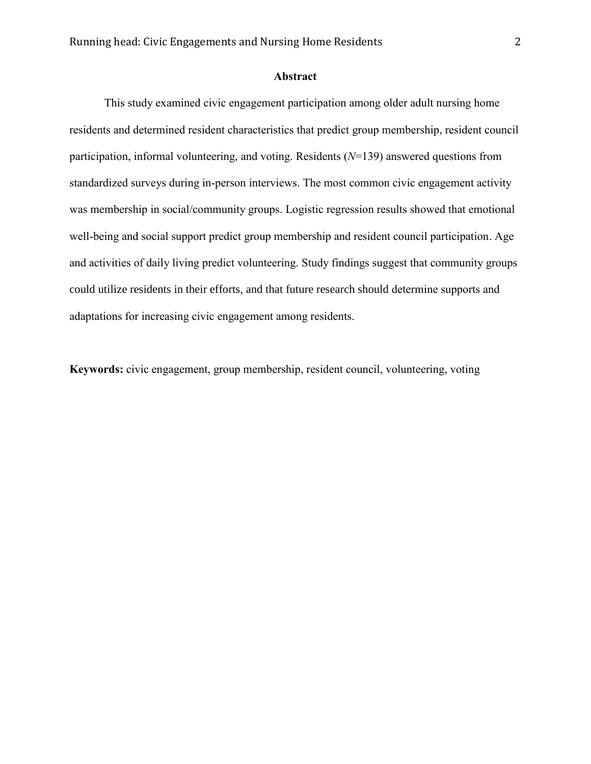## **Abstract**

This study examined civic engagement participation among older adult nursing home residents and determined resident characteristics that predict group membership, resident council participation, informal volunteering, and voting. Residents (*N*=139) answered questions from standardized surveys during in-person interviews. The most common civic engagement activity was membership in social/community groups. Logistic regression results showed that emotional well-being and social support predict group membership and resident council participation. Age and activities of daily living predict volunteering. Study findings suggest that community groups could utilize residents in their efforts, and that future research should determine supports and adaptations for increasing civic engagement among residents.

**Keywords:** civic engagement, group membership, resident council, volunteering, voting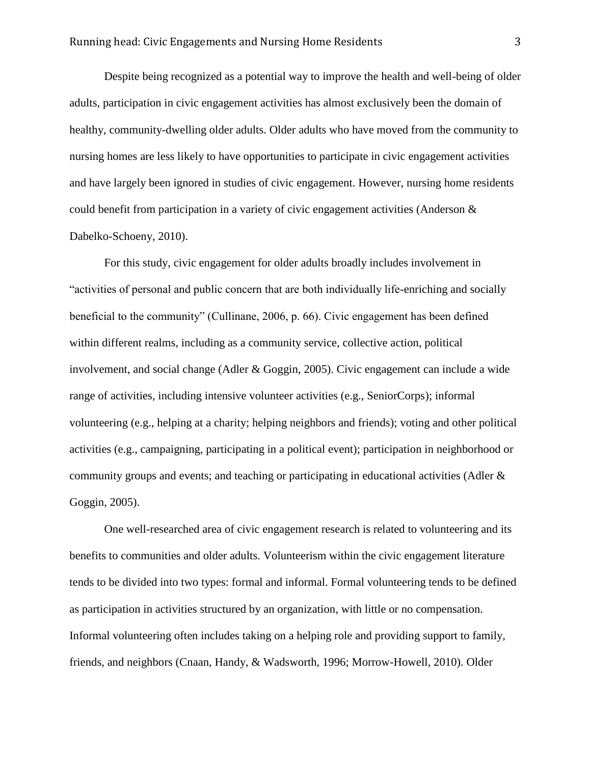Despite being recognized as a potential way to improve the health and well-being of older adults, participation in civic engagement activities has almost exclusively been the domain of healthy, community-dwelling older adults. Older adults who have moved from the community to nursing homes are less likely to have opportunities to participate in civic engagement activities and have largely been ignored in studies of civic engagement. However, nursing home residents could benefit from participation in a variety of civic engagement activities (Anderson & Dabelko-Schoeny, 2010).

For this study, civic engagement for older adults broadly includes involvement in "activities of personal and public concern that are both individually life-enriching and socially beneficial to the community" (Cullinane, 2006, p. 66). Civic engagement has been defined within different realms, including as a community service, collective action, political involvement, and social change (Adler & Goggin, 2005). Civic engagement can include a wide range of activities, including intensive volunteer activities (e.g., SeniorCorps); informal volunteering (e.g., helping at a charity; helping neighbors and friends); voting and other political activities (e.g., campaigning, participating in a political event); participation in neighborhood or community groups and events; and teaching or participating in educational activities (Adler & Goggin, 2005).

One well-researched area of civic engagement research is related to volunteering and its benefits to communities and older adults. Volunteerism within the civic engagement literature tends to be divided into two types: formal and informal. Formal volunteering tends to be defined as participation in activities structured by an organization, with little or no compensation. Informal volunteering often includes taking on a helping role and providing support to family, friends, and neighbors (Cnaan, Handy, & Wadsworth, 1996; Morrow-Howell, 2010). Older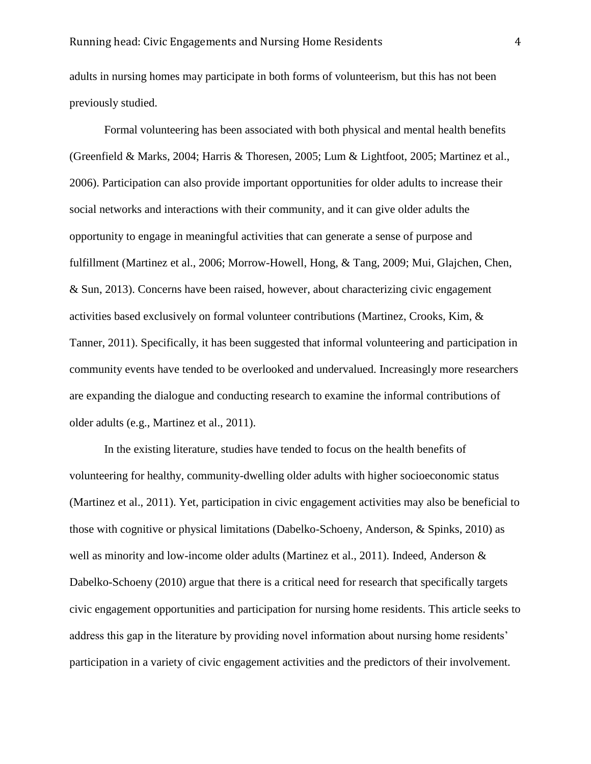adults in nursing homes may participate in both forms of volunteerism, but this has not been previously studied.

Formal volunteering has been associated with both physical and mental health benefits (Greenfield & Marks, 2004; Harris & Thoresen, 2005; Lum & Lightfoot, 2005; Martinez et al., 2006). Participation can also provide important opportunities for older adults to increase their social networks and interactions with their community, and it can give older adults the opportunity to engage in meaningful activities that can generate a sense of purpose and fulfillment (Martinez et al., 2006; Morrow-Howell, Hong, & Tang, 2009; Mui, Glajchen, Chen, & Sun, 2013). Concerns have been raised, however, about characterizing civic engagement activities based exclusively on formal volunteer contributions (Martinez, Crooks, Kim, & Tanner, 2011). Specifically, it has been suggested that informal volunteering and participation in community events have tended to be overlooked and undervalued. Increasingly more researchers are expanding the dialogue and conducting research to examine the informal contributions of older adults (e.g., Martinez et al., 2011).

In the existing literature, studies have tended to focus on the health benefits of volunteering for healthy, community-dwelling older adults with higher socioeconomic status (Martinez et al., 2011). Yet, participation in civic engagement activities may also be beneficial to those with cognitive or physical limitations (Dabelko-Schoeny, Anderson, & Spinks, 2010) as well as minority and low-income older adults (Martinez et al., 2011). Indeed, Anderson & Dabelko-Schoeny (2010) argue that there is a critical need for research that specifically targets civic engagement opportunities and participation for nursing home residents. This article seeks to address this gap in the literature by providing novel information about nursing home residents' participation in a variety of civic engagement activities and the predictors of their involvement.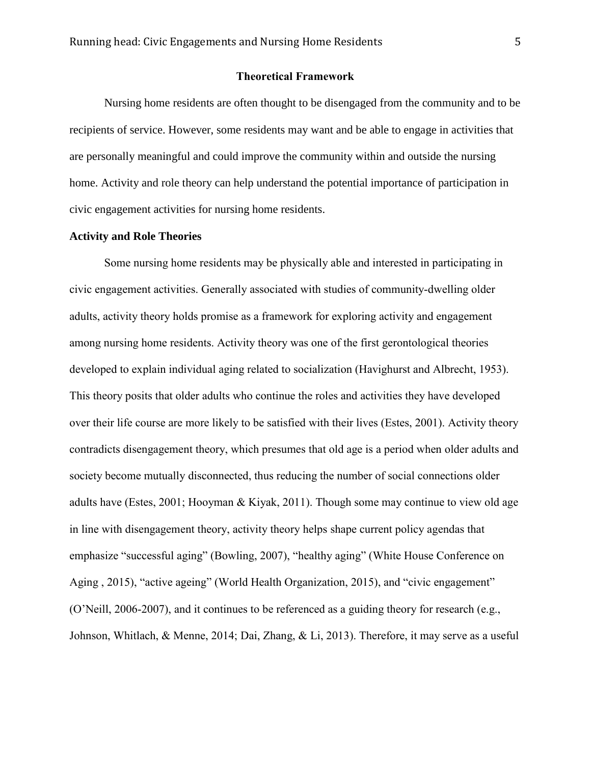#### **Theoretical Framework**

Nursing home residents are often thought to be disengaged from the community and to be recipients of service. However, some residents may want and be able to engage in activities that are personally meaningful and could improve the community within and outside the nursing home. Activity and role theory can help understand the potential importance of participation in civic engagement activities for nursing home residents.

## **Activity and Role Theories**

Some nursing home residents may be physically able and interested in participating in civic engagement activities. Generally associated with studies of community-dwelling older adults, activity theory holds promise as a framework for exploring activity and engagement among nursing home residents. Activity theory was one of the first gerontological theories developed to explain individual aging related to socialization (Havighurst and Albrecht, 1953). This theory posits that older adults who continue the roles and activities they have developed over their life course are more likely to be satisfied with their lives (Estes, 2001). Activity theory contradicts disengagement theory, which presumes that old age is a period when older adults and society become mutually disconnected, thus reducing the number of social connections older adults have (Estes, 2001; Hooyman & Kiyak, 2011). Though some may continue to view old age in line with disengagement theory, activity theory helps shape current policy agendas that emphasize "successful aging" (Bowling, 2007), "healthy aging" (White House Conference on Aging , 2015), "active ageing" (World Health Organization, 2015), and "civic engagement" (O'Neill, 2006-2007), and it continues to be referenced as a guiding theory for research (e.g., Johnson, Whitlach, & Menne, 2014; Dai, Zhang, & Li, 2013). Therefore, it may serve as a useful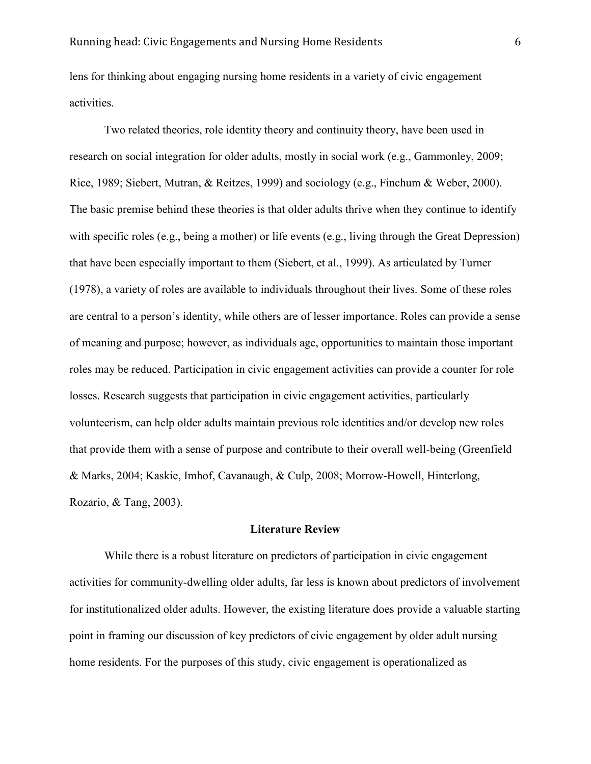lens for thinking about engaging nursing home residents in a variety of civic engagement activities.

Two related theories, role identity theory and continuity theory, have been used in research on social integration for older adults, mostly in social work (e.g., Gammonley, 2009; Rice, 1989; Siebert, Mutran, & Reitzes, 1999) and sociology (e.g., Finchum & Weber, 2000). The basic premise behind these theories is that older adults thrive when they continue to identify with specific roles (e.g., being a mother) or life events (e.g., living through the Great Depression) that have been especially important to them (Siebert, et al., 1999). As articulated by Turner (1978), a variety of roles are available to individuals throughout their lives. Some of these roles are central to a person's identity, while others are of lesser importance. Roles can provide a sense of meaning and purpose; however, as individuals age, opportunities to maintain those important roles may be reduced. Participation in civic engagement activities can provide a counter for role losses. Research suggests that participation in civic engagement activities, particularly volunteerism, can help older adults maintain previous role identities and/or develop new roles that provide them with a sense of purpose and contribute to their overall well-being (Greenfield & Marks, 2004; Kaskie, Imhof, Cavanaugh, & Culp, 2008; Morrow-Howell, Hinterlong, Rozario, & Tang, 2003).

#### **Literature Review**

While there is a robust literature on predictors of participation in civic engagement activities for community-dwelling older adults, far less is known about predictors of involvement for institutionalized older adults. However, the existing literature does provide a valuable starting point in framing our discussion of key predictors of civic engagement by older adult nursing home residents. For the purposes of this study, civic engagement is operationalized as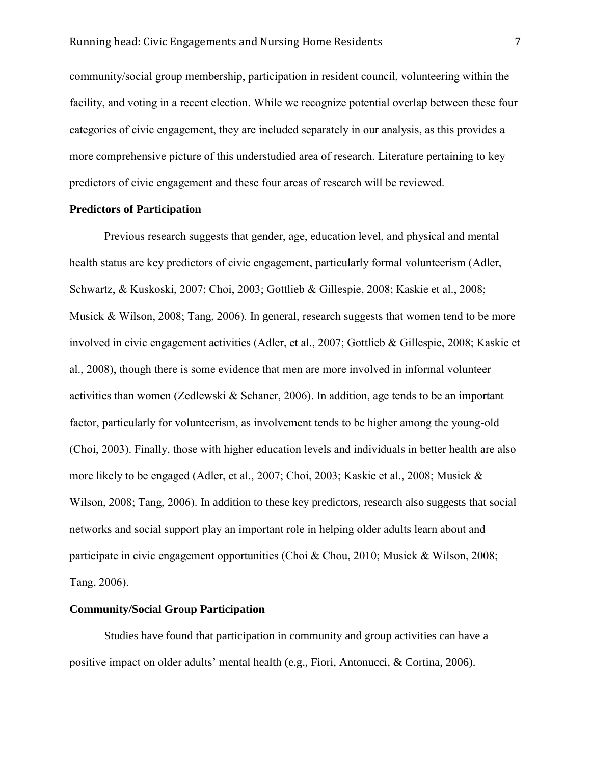community/social group membership, participation in resident council, volunteering within the facility, and voting in a recent election. While we recognize potential overlap between these four categories of civic engagement, they are included separately in our analysis, as this provides a more comprehensive picture of this understudied area of research. Literature pertaining to key predictors of civic engagement and these four areas of research will be reviewed.

#### **Predictors of Participation**

Previous research suggests that gender, age, education level, and physical and mental health status are key predictors of civic engagement, particularly formal volunteerism (Adler, Schwartz, & Kuskoski, 2007; Choi, 2003; Gottlieb & Gillespie, 2008; Kaskie et al., 2008; Musick & Wilson, 2008; Tang, 2006). In general, research suggests that women tend to be more involved in civic engagement activities (Adler, et al., 2007; Gottlieb & Gillespie, 2008; Kaskie et al., 2008), though there is some evidence that men are more involved in informal volunteer activities than women (Zedlewski & Schaner, 2006). In addition, age tends to be an important factor, particularly for volunteerism, as involvement tends to be higher among the young-old (Choi, 2003). Finally, those with higher education levels and individuals in better health are also more likely to be engaged (Adler, et al., 2007; Choi, 2003; Kaskie et al., 2008; Musick & Wilson, 2008; Tang, 2006). In addition to these key predictors, research also suggests that social networks and social support play an important role in helping older adults learn about and participate in civic engagement opportunities (Choi & Chou, 2010; Musick & Wilson, 2008; Tang, 2006).

## **Community/Social Group Participation**

Studies have found that participation in community and group activities can have a positive impact on older adults' mental health (e.g., Fiori, Antonucci, & Cortina, 2006).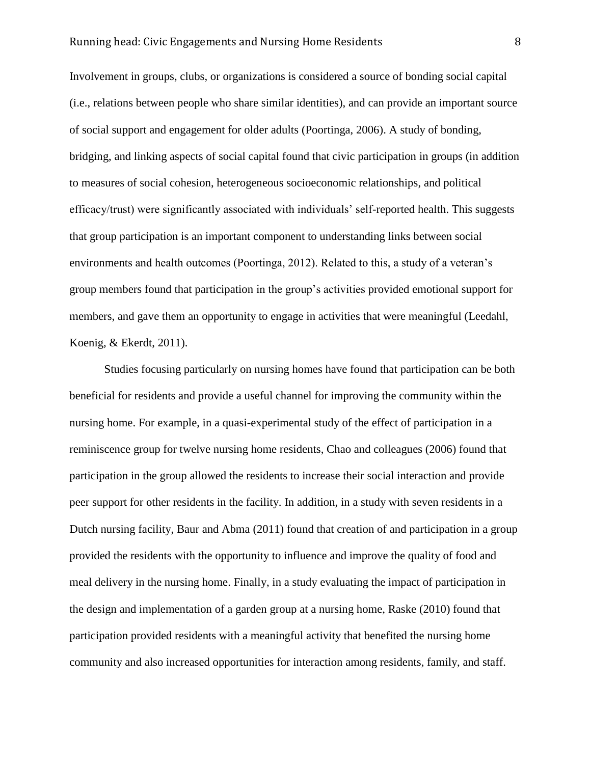## Running head: Civic Engagements and Nursing Home Residents 8

Involvement in groups, clubs, or organizations is considered a source of bonding social capital (i.e., relations between people who share similar identities), and can provide an important source of social support and engagement for older adults (Poortinga, 2006). A study of bonding, bridging, and linking aspects of social capital found that civic participation in groups (in addition to measures of social cohesion, heterogeneous socioeconomic relationships, and political efficacy/trust) were significantly associated with individuals' self-reported health. This suggests that group participation is an important component to understanding links between social environments and health outcomes (Poortinga, 2012). Related to this, a study of a veteran's group members found that participation in the group's activities provided emotional support for members, and gave them an opportunity to engage in activities that were meaningful (Leedahl, Koenig, & Ekerdt, 2011).

Studies focusing particularly on nursing homes have found that participation can be both beneficial for residents and provide a useful channel for improving the community within the nursing home. For example, in a quasi-experimental study of the effect of participation in a reminiscence group for twelve nursing home residents, Chao and colleagues (2006) found that participation in the group allowed the residents to increase their social interaction and provide peer support for other residents in the facility. In addition, in a study with seven residents in a Dutch nursing facility, Baur and Abma (2011) found that creation of and participation in a group provided the residents with the opportunity to influence and improve the quality of food and meal delivery in the nursing home. Finally, in a study evaluating the impact of participation in the design and implementation of a garden group at a nursing home, Raske (2010) found that participation provided residents with a meaningful activity that benefited the nursing home community and also increased opportunities for interaction among residents, family, and staff.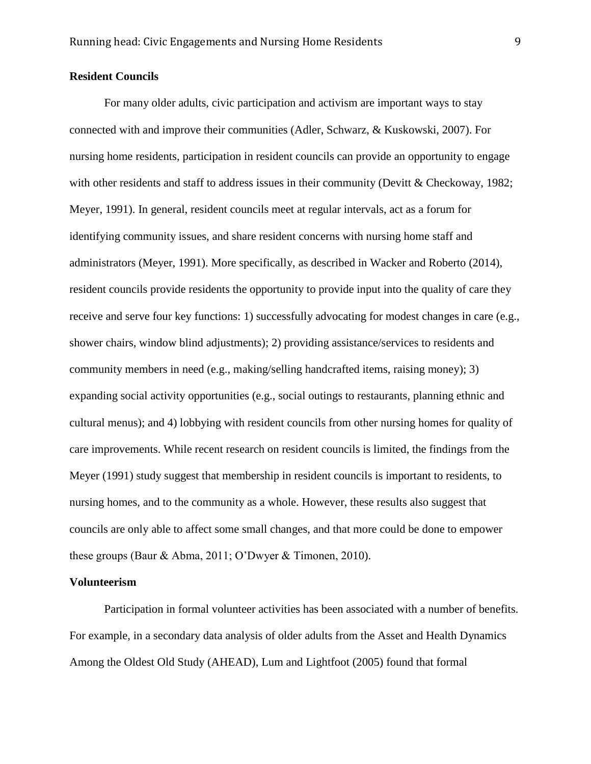## **Resident Councils**

For many older adults, civic participation and activism are important ways to stay connected with and improve their communities (Adler, Schwarz, & Kuskowski, 2007). For nursing home residents, participation in resident councils can provide an opportunity to engage with other residents and staff to address issues in their community (Devitt & Checkoway, 1982; Meyer, 1991). In general, resident councils meet at regular intervals, act as a forum for identifying community issues, and share resident concerns with nursing home staff and administrators (Meyer, 1991). More specifically, as described in Wacker and Roberto (2014), resident councils provide residents the opportunity to provide input into the quality of care they receive and serve four key functions: 1) successfully advocating for modest changes in care (e.g., shower chairs, window blind adjustments); 2) providing assistance/services to residents and community members in need (e.g., making/selling handcrafted items, raising money); 3) expanding social activity opportunities (e.g., social outings to restaurants, planning ethnic and cultural menus); and 4) lobbying with resident councils from other nursing homes for quality of care improvements. While recent research on resident councils is limited, the findings from the Meyer (1991) study suggest that membership in resident councils is important to residents, to nursing homes, and to the community as a whole. However, these results also suggest that councils are only able to affect some small changes, and that more could be done to empower these groups (Baur & Abma, 2011; O'Dwyer & Timonen, 2010).

#### **Volunteerism**

Participation in formal volunteer activities has been associated with a number of benefits. For example, in a secondary data analysis of older adults from the Asset and Health Dynamics Among the Oldest Old Study (AHEAD), Lum and Lightfoot (2005) found that formal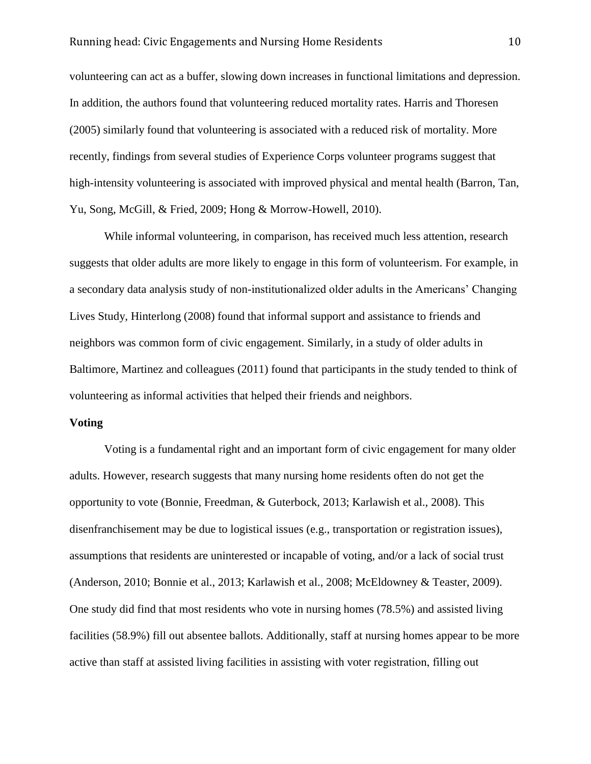volunteering can act as a buffer, slowing down increases in functional limitations and depression. In addition, the authors found that volunteering reduced mortality rates. Harris and Thoresen (2005) similarly found that volunteering is associated with a reduced risk of mortality. More recently, findings from several studies of Experience Corps volunteer programs suggest that high-intensity volunteering is associated with improved physical and mental health (Barron, Tan, Yu, Song, McGill, & Fried, 2009; Hong & Morrow-Howell, 2010).

While informal volunteering, in comparison, has received much less attention, research suggests that older adults are more likely to engage in this form of volunteerism. For example, in a secondary data analysis study of non-institutionalized older adults in the Americans' Changing Lives Study, Hinterlong (2008) found that informal support and assistance to friends and neighbors was common form of civic engagement. Similarly, in a study of older adults in Baltimore, Martinez and colleagues (2011) found that participants in the study tended to think of volunteering as informal activities that helped their friends and neighbors.

#### **Voting**

Voting is a fundamental right and an important form of civic engagement for many older adults. However, research suggests that many nursing home residents often do not get the opportunity to vote (Bonnie, Freedman, & Guterbock, 2013; Karlawish et al., 2008). This disenfranchisement may be due to logistical issues (e.g., transportation or registration issues), assumptions that residents are uninterested or incapable of voting, and/or a lack of social trust (Anderson, 2010; Bonnie et al., 2013; Karlawish et al., 2008; McEldowney & Teaster, 2009). One study did find that most residents who vote in nursing homes (78.5%) and assisted living facilities (58.9%) fill out absentee ballots. Additionally, staff at nursing homes appear to be more active than staff at assisted living facilities in assisting with voter registration, filling out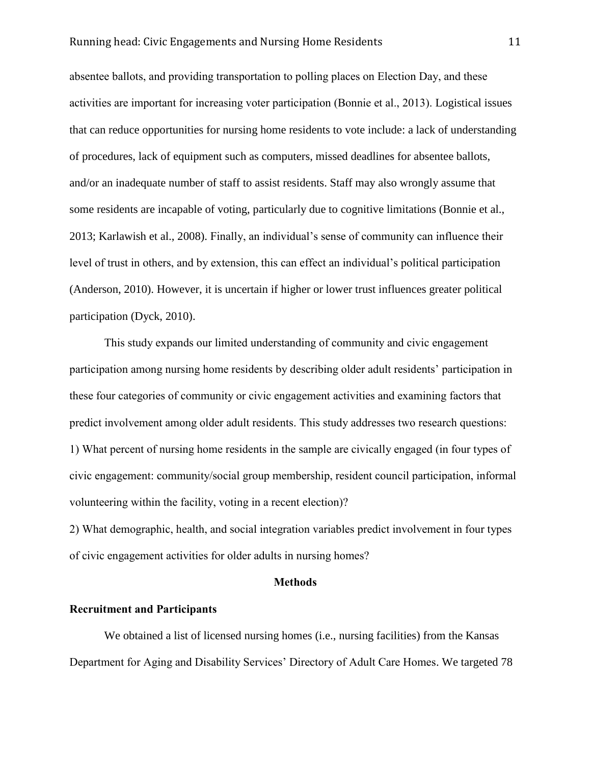absentee ballots, and providing transportation to polling places on Election Day, and these activities are important for increasing voter participation (Bonnie et al., 2013). Logistical issues that can reduce opportunities for nursing home residents to vote include: a lack of understanding of procedures, lack of equipment such as computers, missed deadlines for absentee ballots, and/or an inadequate number of staff to assist residents. Staff may also wrongly assume that some residents are incapable of voting, particularly due to cognitive limitations (Bonnie et al., 2013; Karlawish et al., 2008). Finally, an individual's sense of community can influence their level of trust in others, and by extension, this can effect an individual's political participation (Anderson, 2010). However, it is uncertain if higher or lower trust influences greater political participation (Dyck, 2010).

This study expands our limited understanding of community and civic engagement participation among nursing home residents by describing older adult residents' participation in these four categories of community or civic engagement activities and examining factors that predict involvement among older adult residents. This study addresses two research questions: 1) What percent of nursing home residents in the sample are civically engaged (in four types of civic engagement: community/social group membership, resident council participation, informal volunteering within the facility, voting in a recent election)?

2) What demographic, health, and social integration variables predict involvement in four types of civic engagement activities for older adults in nursing homes?

### **Methods**

## **Recruitment and Participants**

We obtained a list of licensed nursing homes (i.e., nursing facilities) from the Kansas Department for Aging and Disability Services' Directory of Adult Care Homes. We targeted 78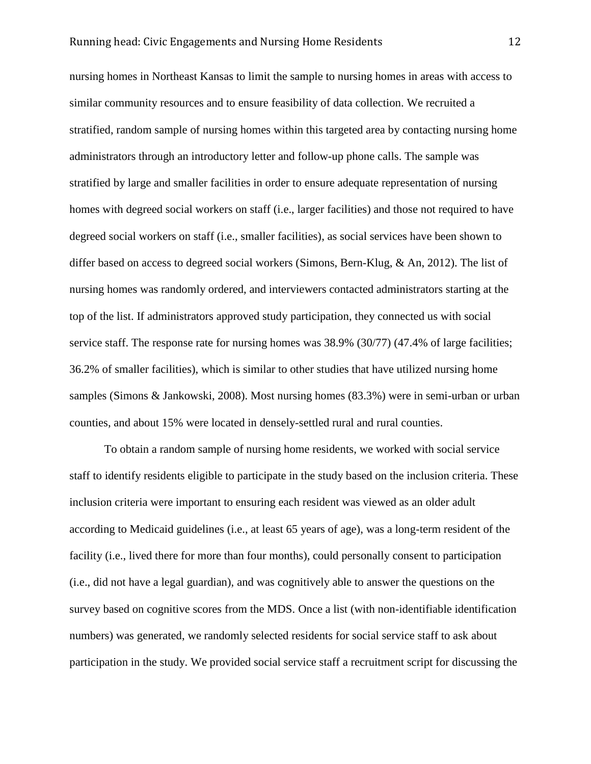nursing homes in Northeast Kansas to limit the sample to nursing homes in areas with access to similar community resources and to ensure feasibility of data collection. We recruited a stratified, random sample of nursing homes within this targeted area by contacting nursing home administrators through an introductory letter and follow-up phone calls. The sample was stratified by large and smaller facilities in order to ensure adequate representation of nursing homes with degreed social workers on staff (i.e., larger facilities) and those not required to have degreed social workers on staff (i.e., smaller facilities), as social services have been shown to differ based on access to degreed social workers (Simons, Bern-Klug, & An, 2012). The list of nursing homes was randomly ordered, and interviewers contacted administrators starting at the top of the list. If administrators approved study participation, they connected us with social service staff. The response rate for nursing homes was 38.9% (30/77) (47.4% of large facilities; 36.2% of smaller facilities), which is similar to other studies that have utilized nursing home samples (Simons & Jankowski, 2008). Most nursing homes (83.3%) were in semi-urban or urban counties, and about 15% were located in densely-settled rural and rural counties.

To obtain a random sample of nursing home residents, we worked with social service staff to identify residents eligible to participate in the study based on the inclusion criteria. These inclusion criteria were important to ensuring each resident was viewed as an older adult according to Medicaid guidelines (i.e., at least 65 years of age), was a long-term resident of the facility (i.e., lived there for more than four months), could personally consent to participation (i.e., did not have a legal guardian), and was cognitively able to answer the questions on the survey based on cognitive scores from the MDS. Once a list (with non-identifiable identification numbers) was generated, we randomly selected residents for social service staff to ask about participation in the study. We provided social service staff a recruitment script for discussing the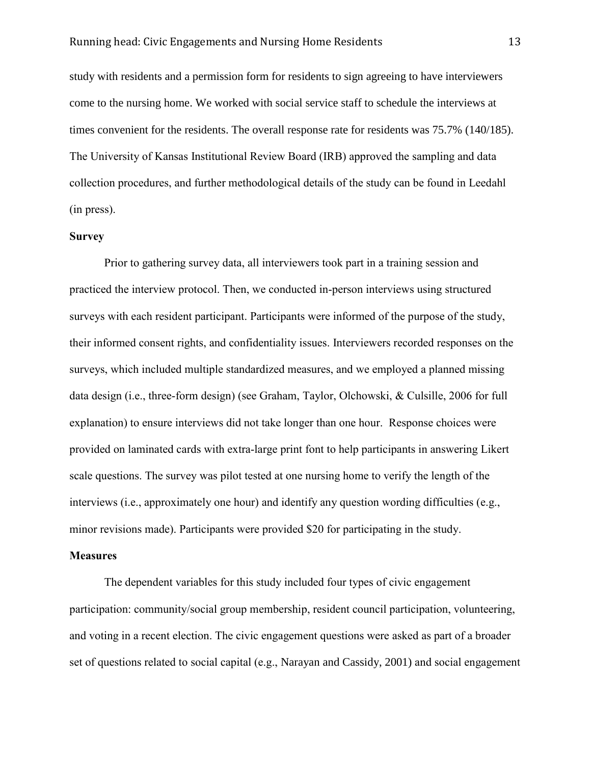study with residents and a permission form for residents to sign agreeing to have interviewers come to the nursing home. We worked with social service staff to schedule the interviews at times convenient for the residents. The overall response rate for residents was 75.7% (140/185). The University of Kansas Institutional Review Board (IRB) approved the sampling and data collection procedures, and further methodological details of the study can be found in Leedahl (in press).

## **Survey**

Prior to gathering survey data, all interviewers took part in a training session and practiced the interview protocol. Then, we conducted in-person interviews using structured surveys with each resident participant. Participants were informed of the purpose of the study, their informed consent rights, and confidentiality issues. Interviewers recorded responses on the surveys, which included multiple standardized measures, and we employed a planned missing data design (i.e., three-form design) (see Graham, Taylor, Olchowski, & Culsille, 2006 for full explanation) to ensure interviews did not take longer than one hour. Response choices were provided on laminated cards with extra-large print font to help participants in answering Likert scale questions. The survey was pilot tested at one nursing home to verify the length of the interviews (i.e., approximately one hour) and identify any question wording difficulties (e.g., minor revisions made). Participants were provided \$20 for participating in the study.

#### **Measures**

The dependent variables for this study included four types of civic engagement participation: community/social group membership, resident council participation, volunteering, and voting in a recent election. The civic engagement questions were asked as part of a broader set of questions related to social capital (e.g., Narayan and Cassidy, 2001) and social engagement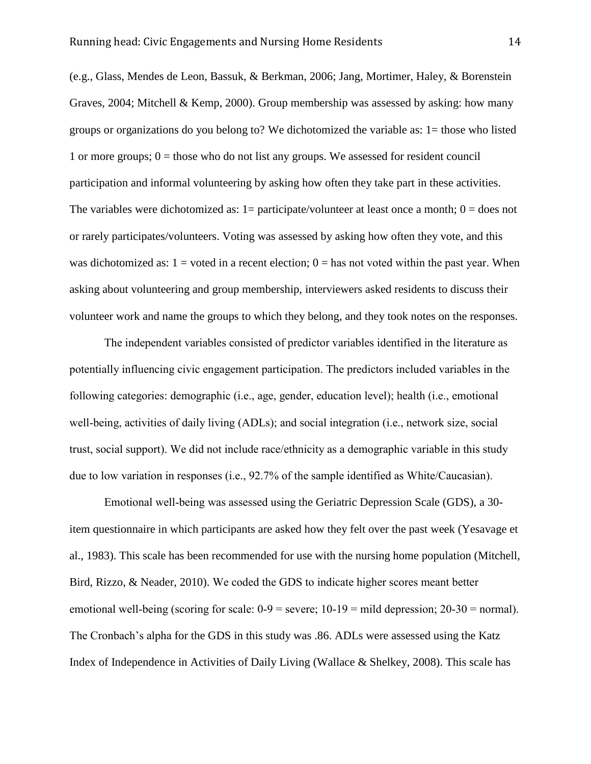(e.g., Glass, Mendes de Leon, Bassuk, & Berkman, 2006; Jang, Mortimer, Haley, & Borenstein Graves, 2004; Mitchell & Kemp, 2000). Group membership was assessed by asking: how many groups or organizations do you belong to? We dichotomized the variable as: 1= those who listed 1 or more groups;  $0 =$  those who do not list any groups. We assessed for resident council participation and informal volunteering by asking how often they take part in these activities. The variables were dichotomized as:  $1=$  participate/volunteer at least once a month;  $0=$  does not or rarely participates/volunteers. Voting was assessed by asking how often they vote, and this was dichotomized as:  $1 =$  voted in a recent election;  $0 =$  has not voted within the past year. When asking about volunteering and group membership, interviewers asked residents to discuss their volunteer work and name the groups to which they belong, and they took notes on the responses.

The independent variables consisted of predictor variables identified in the literature as potentially influencing civic engagement participation. The predictors included variables in the following categories: demographic (i.e., age, gender, education level); health (i.e., emotional well-being, activities of daily living (ADLs); and social integration (i.e., network size, social trust, social support). We did not include race/ethnicity as a demographic variable in this study due to low variation in responses (i.e., 92.7% of the sample identified as White/Caucasian).

Emotional well-being was assessed using the Geriatric Depression Scale (GDS), a 30 item questionnaire in which participants are asked how they felt over the past week (Yesavage et al., 1983). This scale has been recommended for use with the nursing home population (Mitchell, Bird, Rizzo, & Neader, 2010). We coded the GDS to indicate higher scores meant better emotional well-being (scoring for scale:  $0-9$  = severe;  $10-19$  = mild depression;  $20-30$  = normal). The Cronbach's alpha for the GDS in this study was .86. ADLs were assessed using the Katz Index of Independence in Activities of Daily Living (Wallace & Shelkey, 2008). This scale has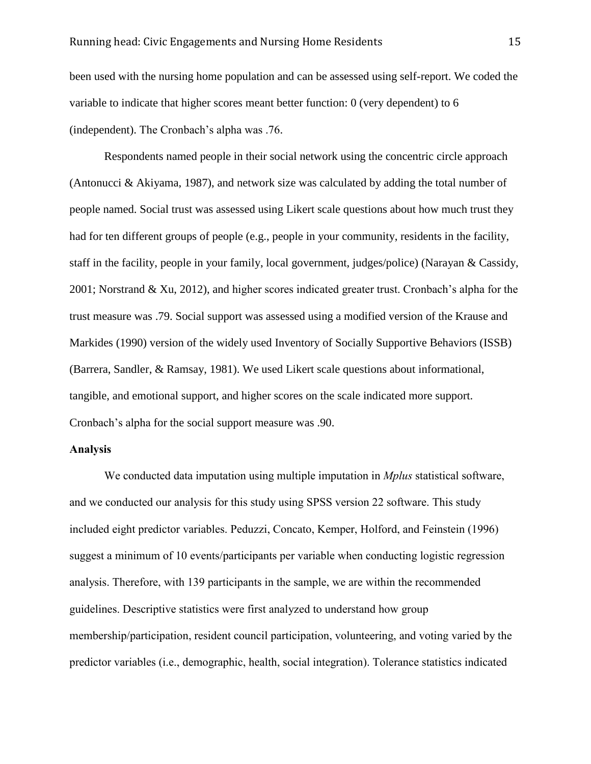been used with the nursing home population and can be assessed using self-report. We coded the variable to indicate that higher scores meant better function: 0 (very dependent) to 6 (independent). The Cronbach's alpha was .76.

Respondents named people in their social network using the concentric circle approach (Antonucci & Akiyama, 1987), and network size was calculated by adding the total number of people named. Social trust was assessed using Likert scale questions about how much trust they had for ten different groups of people (e.g., people in your community, residents in the facility, staff in the facility, people in your family, local government, judges/police) (Narayan & Cassidy, 2001; Norstrand & Xu, 2012), and higher scores indicated greater trust. Cronbach's alpha for the trust measure was .79. Social support was assessed using a modified version of the Krause and Markides (1990) version of the widely used Inventory of Socially Supportive Behaviors (ISSB) (Barrera, Sandler, & Ramsay, 1981). We used Likert scale questions about informational, tangible, and emotional support, and higher scores on the scale indicated more support. Cronbach's alpha for the social support measure was .90.

#### **Analysis**

We conducted data imputation using multiple imputation in *Mplus* statistical software, and we conducted our analysis for this study using SPSS version 22 software. This study included eight predictor variables. Peduzzi, Concato, Kemper, Holford, and Feinstein (1996) suggest a minimum of 10 events/participants per variable when conducting logistic regression analysis. Therefore, with 139 participants in the sample, we are within the recommended guidelines. Descriptive statistics were first analyzed to understand how group membership/participation, resident council participation, volunteering, and voting varied by the predictor variables (i.e., demographic, health, social integration). Tolerance statistics indicated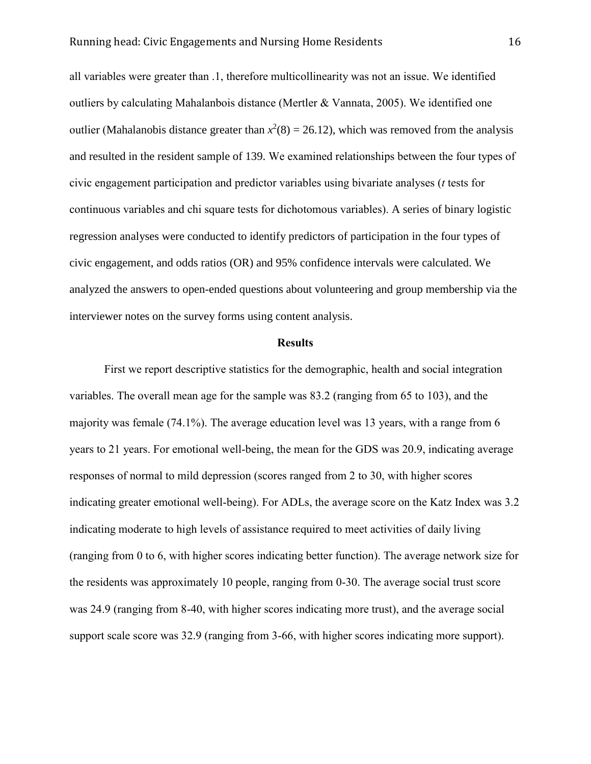all variables were greater than .1, therefore multicollinearity was not an issue. We identified outliers by calculating Mahalanbois distance (Mertler & Vannata, 2005). We identified one outlier (Mahalanobis distance greater than  $x^2(8) = 26.12$ ), which was removed from the analysis and resulted in the resident sample of 139. We examined relationships between the four types of civic engagement participation and predictor variables using bivariate analyses (*t* tests for continuous variables and chi square tests for dichotomous variables). A series of binary logistic regression analyses were conducted to identify predictors of participation in the four types of civic engagement, and odds ratios (OR) and 95% confidence intervals were calculated. We analyzed the answers to open-ended questions about volunteering and group membership via the interviewer notes on the survey forms using content analysis.

#### **Results**

First we report descriptive statistics for the demographic, health and social integration variables. The overall mean age for the sample was 83.2 (ranging from 65 to 103), and the majority was female (74.1%). The average education level was 13 years, with a range from 6 years to 21 years. For emotional well-being, the mean for the GDS was 20.9, indicating average responses of normal to mild depression (scores ranged from 2 to 30, with higher scores indicating greater emotional well-being). For ADLs, the average score on the Katz Index was 3.2 indicating moderate to high levels of assistance required to meet activities of daily living (ranging from 0 to 6, with higher scores indicating better function). The average network size for the residents was approximately 10 people, ranging from 0-30. The average social trust score was 24.9 (ranging from 8-40, with higher scores indicating more trust), and the average social support scale score was 32.9 (ranging from 3-66, with higher scores indicating more support).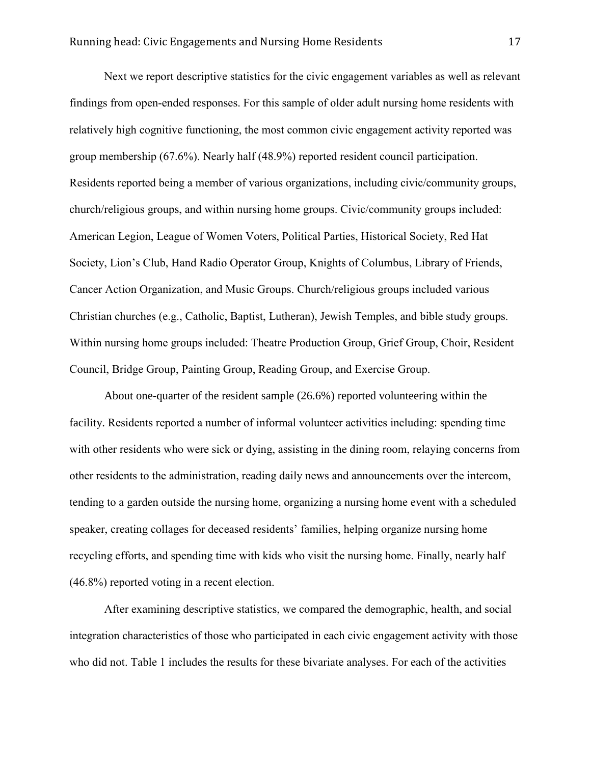Next we report descriptive statistics for the civic engagement variables as well as relevant findings from open-ended responses. For this sample of older adult nursing home residents with relatively high cognitive functioning, the most common civic engagement activity reported was group membership (67.6%). Nearly half (48.9%) reported resident council participation. Residents reported being a member of various organizations, including civic/community groups, church/religious groups, and within nursing home groups. Civic/community groups included: American Legion, League of Women Voters, Political Parties, Historical Society, Red Hat Society, Lion's Club, Hand Radio Operator Group, Knights of Columbus, Library of Friends, Cancer Action Organization, and Music Groups. Church/religious groups included various Christian churches (e.g., Catholic, Baptist, Lutheran), Jewish Temples, and bible study groups. Within nursing home groups included: Theatre Production Group, Grief Group, Choir, Resident Council, Bridge Group, Painting Group, Reading Group, and Exercise Group.

About one-quarter of the resident sample (26.6%) reported volunteering within the facility. Residents reported a number of informal volunteer activities including: spending time with other residents who were sick or dying, assisting in the dining room, relaying concerns from other residents to the administration, reading daily news and announcements over the intercom, tending to a garden outside the nursing home, organizing a nursing home event with a scheduled speaker, creating collages for deceased residents' families, helping organize nursing home recycling efforts, and spending time with kids who visit the nursing home. Finally, nearly half (46.8%) reported voting in a recent election.

After examining descriptive statistics, we compared the demographic, health, and social integration characteristics of those who participated in each civic engagement activity with those who did not. Table 1 includes the results for these bivariate analyses. For each of the activities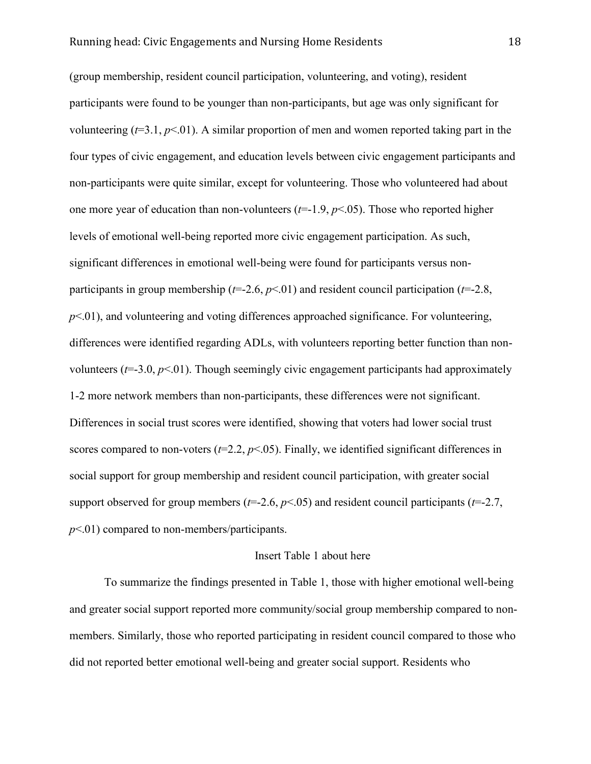(group membership, resident council participation, volunteering, and voting), resident participants were found to be younger than non-participants, but age was only significant for volunteering  $(t=3.1, p<0.1)$ . A similar proportion of men and women reported taking part in the four types of civic engagement, and education levels between civic engagement participants and non-participants were quite similar, except for volunteering. Those who volunteered had about one more year of education than non-volunteers  $(t=1.9, p<0.05)$ . Those who reported higher levels of emotional well-being reported more civic engagement participation. As such, significant differences in emotional well-being were found for participants versus nonparticipants in group membership (*t*=-2.6, *p*<.01) and resident council participation (*t*=-2.8,  $p<.01$ ), and volunteering and voting differences approached significance. For volunteering, differences were identified regarding ADLs, with volunteers reporting better function than nonvolunteers  $(t=3.0, p<0.01)$ . Though seemingly civic engagement participants had approximately 1-2 more network members than non-participants, these differences were not significant. Differences in social trust scores were identified, showing that voters had lower social trust scores compared to non-voters  $(t=2.2, p<0.05)$ . Finally, we identified significant differences in social support for group membership and resident council participation, with greater social support observed for group members ( $t=2.6$ ,  $p<0.05$ ) and resident council participants ( $t=2.7$ , *p*<.01) compared to non-members/participants.

#### Insert Table 1 about here

To summarize the findings presented in Table 1, those with higher emotional well-being and greater social support reported more community/social group membership compared to nonmembers. Similarly, those who reported participating in resident council compared to those who did not reported better emotional well-being and greater social support. Residents who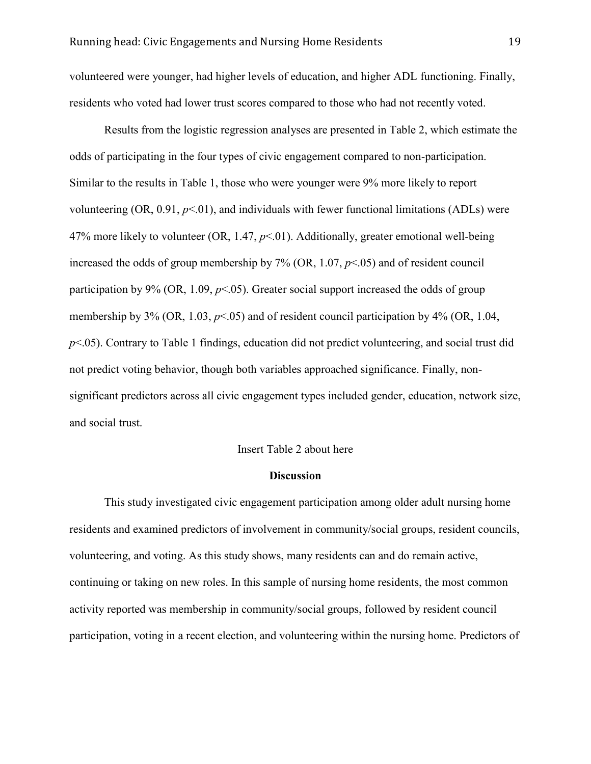volunteered were younger, had higher levels of education, and higher ADL functioning. Finally, residents who voted had lower trust scores compared to those who had not recently voted.

Results from the logistic regression analyses are presented in Table 2, which estimate the odds of participating in the four types of civic engagement compared to non-participation. Similar to the results in Table 1, those who were younger were 9% more likely to report volunteering  $(OR, 0.91, p<0.01)$ , and individuals with fewer functional limitations  $(ADLs)$  were 47% more likely to volunteer (OR, 1.47, *p*<.01). Additionally, greater emotional well-being increased the odds of group membership by  $7\%$  (OR, 1.07,  $p<.05$ ) and of resident council participation by 9% (OR, 1.09,  $p<0.65$ ). Greater social support increased the odds of group membership by 3% (OR, 1.03,  $p<.05$ ) and of resident council participation by 4% (OR, 1.04, *p*<.05). Contrary to Table 1 findings, education did not predict volunteering, and social trust did not predict voting behavior, though both variables approached significance. Finally, nonsignificant predictors across all civic engagement types included gender, education, network size, and social trust.

#### Insert Table 2 about here

#### **Discussion**

This study investigated civic engagement participation among older adult nursing home residents and examined predictors of involvement in community/social groups, resident councils, volunteering, and voting. As this study shows, many residents can and do remain active, continuing or taking on new roles. In this sample of nursing home residents, the most common activity reported was membership in community/social groups, followed by resident council participation, voting in a recent election, and volunteering within the nursing home. Predictors of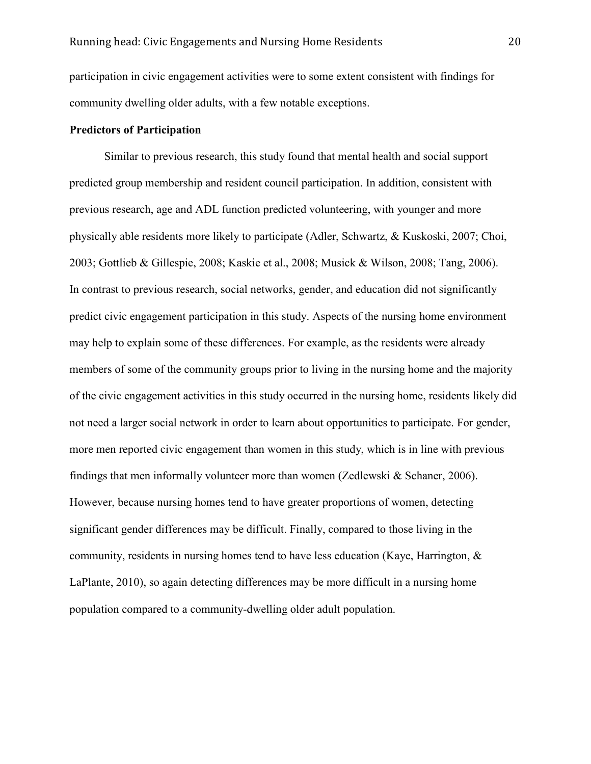participation in civic engagement activities were to some extent consistent with findings for community dwelling older adults, with a few notable exceptions.

## **Predictors of Participation**

Similar to previous research, this study found that mental health and social support predicted group membership and resident council participation. In addition, consistent with previous research, age and ADL function predicted volunteering, with younger and more physically able residents more likely to participate (Adler, Schwartz, & Kuskoski, 2007; Choi, 2003; Gottlieb & Gillespie, 2008; Kaskie et al., 2008; Musick & Wilson, 2008; Tang, 2006). In contrast to previous research, social networks, gender, and education did not significantly predict civic engagement participation in this study. Aspects of the nursing home environment may help to explain some of these differences. For example, as the residents were already members of some of the community groups prior to living in the nursing home and the majority of the civic engagement activities in this study occurred in the nursing home, residents likely did not need a larger social network in order to learn about opportunities to participate. For gender, more men reported civic engagement than women in this study, which is in line with previous findings that men informally volunteer more than women (Zedlewski & Schaner, 2006). However, because nursing homes tend to have greater proportions of women, detecting significant gender differences may be difficult. Finally, compared to those living in the community, residents in nursing homes tend to have less education (Kaye, Harrington,  $\&$ LaPlante, 2010), so again detecting differences may be more difficult in a nursing home population compared to a community-dwelling older adult population.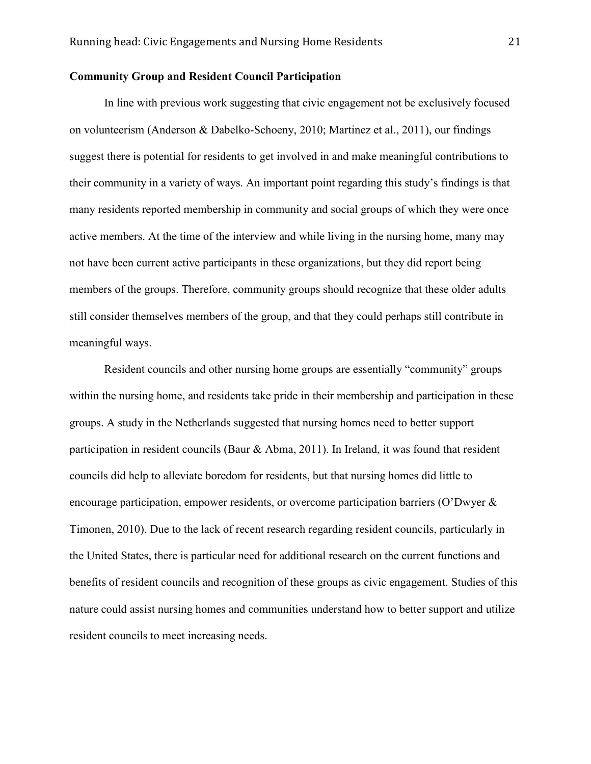## **Community Group and Resident Council Participation**

In line with previous work suggesting that civic engagement not be exclusively focused on volunteerism (Anderson & Dabelko-Schoeny, 2010; Martinez et al., 2011), our findings suggest there is potential for residents to get involved in and make meaningful contributions to their community in a variety of ways. An important point regarding this study's findings is that many residents reported membership in community and social groups of which they were once active members. At the time of the interview and while living in the nursing home, many may not have been current active participants in these organizations, but they did report being members of the groups. Therefore, community groups should recognize that these older adults still consider themselves members of the group, and that they could perhaps still contribute in meaningful ways.

Resident councils and other nursing home groups are essentially "community" groups within the nursing home, and residents take pride in their membership and participation in these groups. A study in the Netherlands suggested that nursing homes need to better support participation in resident councils (Baur & Abma, 2011). In Ireland, it was found that resident councils did help to alleviate boredom for residents, but that nursing homes did little to encourage participation, empower residents, or overcome participation barriers (O'Dwyer & Timonen, 2010). Due to the lack of recent research regarding resident councils, particularly in the United States, there is particular need for additional research on the current functions and benefits of resident councils and recognition of these groups as civic engagement. Studies of this nature could assist nursing homes and communities understand how to better support and utilize resident councils to meet increasing needs.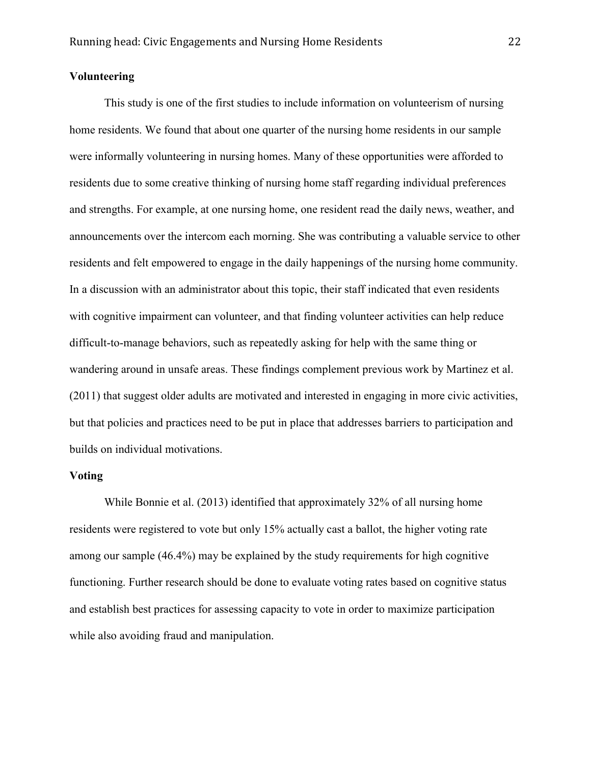## **Volunteering**

This study is one of the first studies to include information on volunteerism of nursing home residents. We found that about one quarter of the nursing home residents in our sample were informally volunteering in nursing homes. Many of these opportunities were afforded to residents due to some creative thinking of nursing home staff regarding individual preferences and strengths. For example, at one nursing home, one resident read the daily news, weather, and announcements over the intercom each morning. She was contributing a valuable service to other residents and felt empowered to engage in the daily happenings of the nursing home community. In a discussion with an administrator about this topic, their staff indicated that even residents with cognitive impairment can volunteer, and that finding volunteer activities can help reduce difficult-to-manage behaviors, such as repeatedly asking for help with the same thing or wandering around in unsafe areas. These findings complement previous work by Martinez et al. (2011) that suggest older adults are motivated and interested in engaging in more civic activities, but that policies and practices need to be put in place that addresses barriers to participation and builds on individual motivations.

### **Voting**

While Bonnie et al. (2013) identified that approximately 32% of all nursing home residents were registered to vote but only 15% actually cast a ballot, the higher voting rate among our sample (46.4%) may be explained by the study requirements for high cognitive functioning. Further research should be done to evaluate voting rates based on cognitive status and establish best practices for assessing capacity to vote in order to maximize participation while also avoiding fraud and manipulation.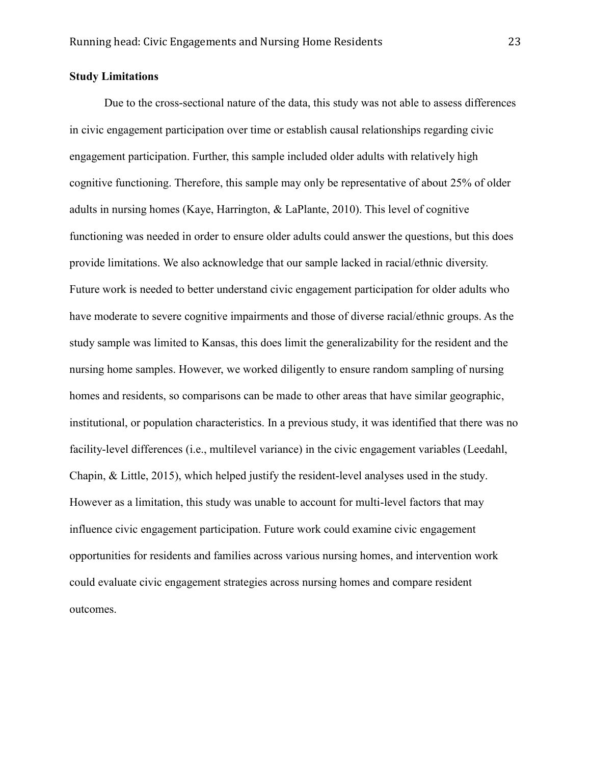## **Study Limitations**

Due to the cross-sectional nature of the data, this study was not able to assess differences in civic engagement participation over time or establish causal relationships regarding civic engagement participation. Further, this sample included older adults with relatively high cognitive functioning. Therefore, this sample may only be representative of about 25% of older adults in nursing homes (Kaye, Harrington, & LaPlante, 2010). This level of cognitive functioning was needed in order to ensure older adults could answer the questions, but this does provide limitations. We also acknowledge that our sample lacked in racial/ethnic diversity. Future work is needed to better understand civic engagement participation for older adults who have moderate to severe cognitive impairments and those of diverse racial/ethnic groups. As the study sample was limited to Kansas, this does limit the generalizability for the resident and the nursing home samples. However, we worked diligently to ensure random sampling of nursing homes and residents, so comparisons can be made to other areas that have similar geographic, institutional, or population characteristics. In a previous study, it was identified that there was no facility-level differences (i.e., multilevel variance) in the civic engagement variables (Leedahl, Chapin, & Little, 2015), which helped justify the resident-level analyses used in the study. However as a limitation, this study was unable to account for multi-level factors that may influence civic engagement participation. Future work could examine civic engagement opportunities for residents and families across various nursing homes, and intervention work could evaluate civic engagement strategies across nursing homes and compare resident outcomes.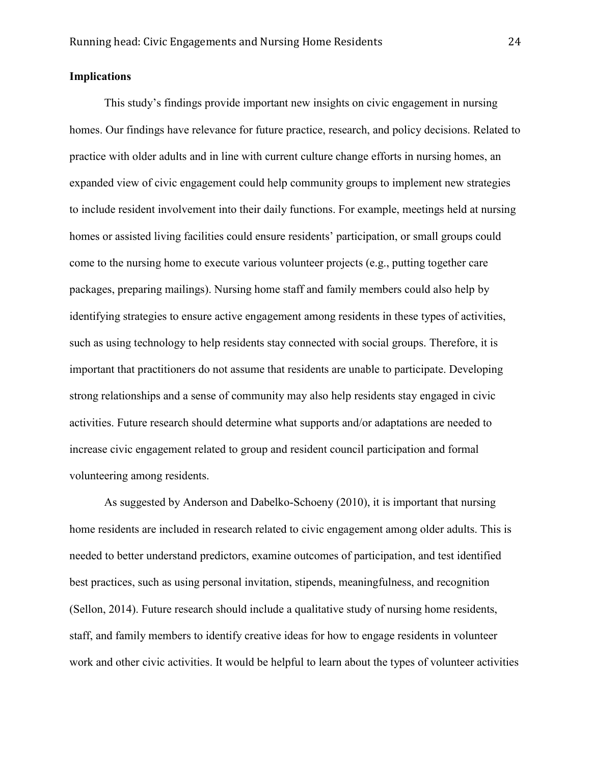## **Implications**

This study's findings provide important new insights on civic engagement in nursing homes. Our findings have relevance for future practice, research, and policy decisions. Related to practice with older adults and in line with current culture change efforts in nursing homes, an expanded view of civic engagement could help community groups to implement new strategies to include resident involvement into their daily functions. For example, meetings held at nursing homes or assisted living facilities could ensure residents' participation, or small groups could come to the nursing home to execute various volunteer projects (e.g., putting together care packages, preparing mailings). Nursing home staff and family members could also help by identifying strategies to ensure active engagement among residents in these types of activities, such as using technology to help residents stay connected with social groups. Therefore, it is important that practitioners do not assume that residents are unable to participate. Developing strong relationships and a sense of community may also help residents stay engaged in civic activities. Future research should determine what supports and/or adaptations are needed to increase civic engagement related to group and resident council participation and formal volunteering among residents.

As suggested by Anderson and Dabelko-Schoeny (2010), it is important that nursing home residents are included in research related to civic engagement among older adults. This is needed to better understand predictors, examine outcomes of participation, and test identified best practices, such as using personal invitation, stipends, meaningfulness, and recognition (Sellon, 2014). Future research should include a qualitative study of nursing home residents, staff, and family members to identify creative ideas for how to engage residents in volunteer work and other civic activities. It would be helpful to learn about the types of volunteer activities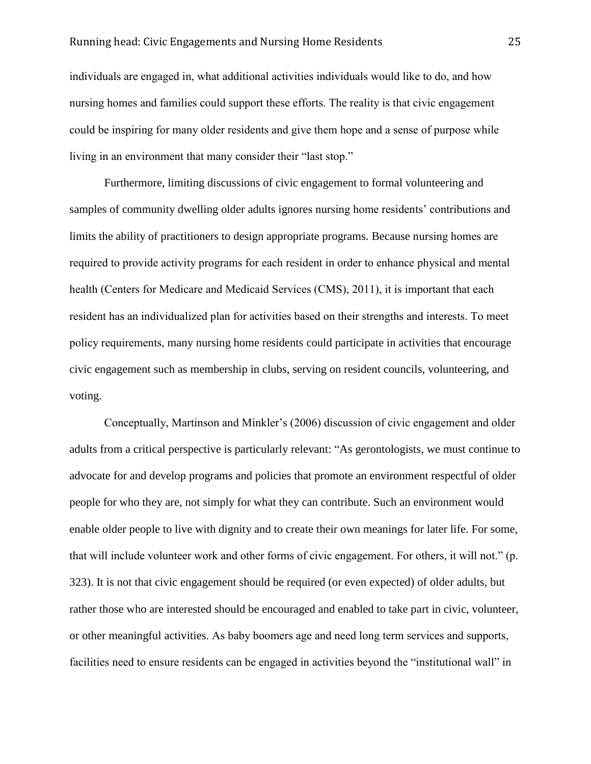## Running head: Civic Engagements and Nursing Home Residents 25

individuals are engaged in, what additional activities individuals would like to do, and how nursing homes and families could support these efforts. The reality is that civic engagement could be inspiring for many older residents and give them hope and a sense of purpose while living in an environment that many consider their "last stop."

Furthermore, limiting discussions of civic engagement to formal volunteering and samples of community dwelling older adults ignores nursing home residents' contributions and limits the ability of practitioners to design appropriate programs. Because nursing homes are required to provide activity programs for each resident in order to enhance physical and mental health (Centers for Medicare and Medicaid Services (CMS), 2011), it is important that each resident has an individualized plan for activities based on their strengths and interests. To meet policy requirements, many nursing home residents could participate in activities that encourage civic engagement such as membership in clubs, serving on resident councils, volunteering, and voting.

Conceptually, Martinson and Minkler's (2006) discussion of civic engagement and older adults from a critical perspective is particularly relevant: "As gerontologists, we must continue to advocate for and develop programs and policies that promote an environment respectful of older people for who they are, not simply for what they can contribute. Such an environment would enable older people to live with dignity and to create their own meanings for later life. For some, that will include volunteer work and other forms of civic engagement. For others, it will not." (p. 323). It is not that civic engagement should be required (or even expected) of older adults, but rather those who are interested should be encouraged and enabled to take part in civic, volunteer, or other meaningful activities. As baby boomers age and need long term services and supports, facilities need to ensure residents can be engaged in activities beyond the "institutional wall" in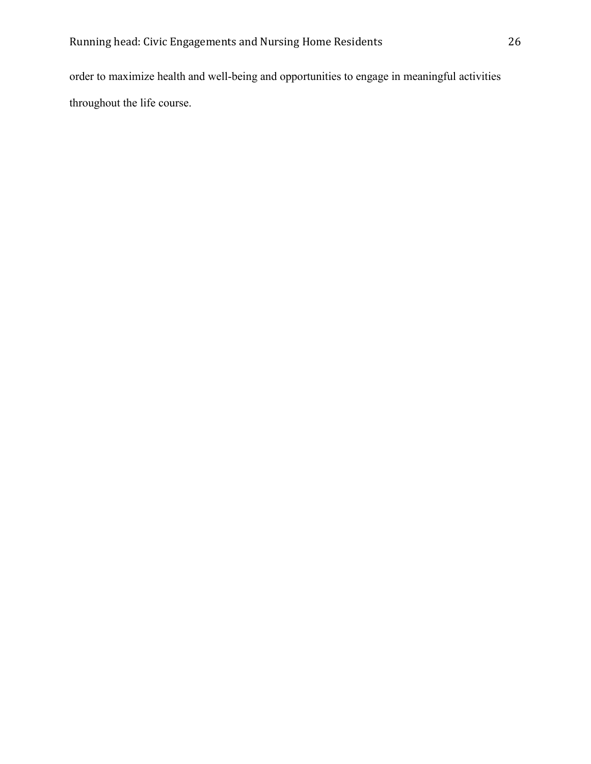order to maximize health and well-being and opportunities to engage in meaningful activities throughout the life course.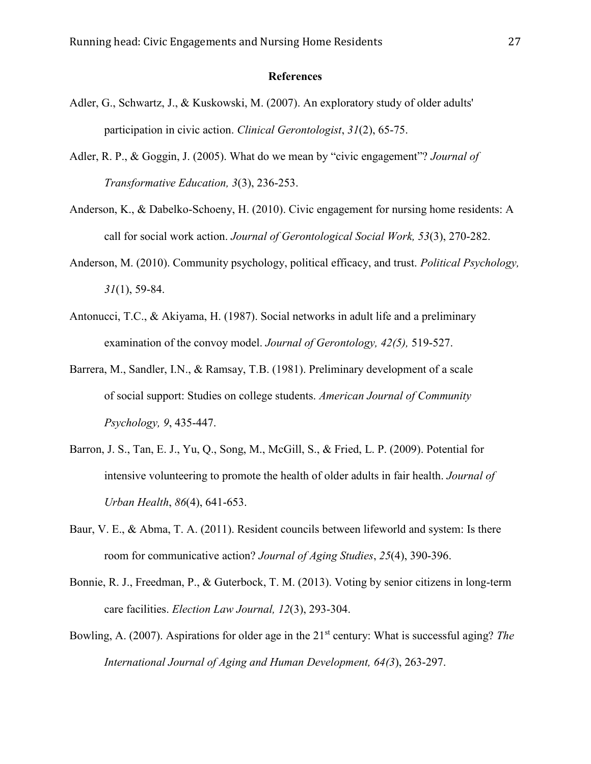## **References**

- Adler, G., Schwartz, J., & Kuskowski, M. (2007). An exploratory study of older adults' participation in civic action. *Clinical Gerontologist*, *31*(2), 65-75.
- Adler, R. P., & Goggin, J. (2005). What do we mean by "civic engagement"? *Journal of Transformative Education, 3*(3), 236-253.
- Anderson, K., & Dabelko-Schoeny, H. (2010). Civic engagement for nursing home residents: A call for social work action. *Journal of Gerontological Social Work, 53*(3), 270-282.
- Anderson, M. (2010). Community psychology, political efficacy, and trust. *Political Psychology, 31*(1), 59-84.
- Antonucci, T.C., & Akiyama, H. (1987). Social networks in adult life and a preliminary examination of the convoy model. *Journal of Gerontology, 42(5),* 519-527.
- Barrera, M., Sandler, I.N., & Ramsay, T.B. (1981). Preliminary development of a scale of social support: Studies on college students. *American Journal of Community Psychology, 9*, 435-447.
- Barron, J. S., Tan, E. J., Yu, Q., Song, M., McGill, S., & Fried, L. P. (2009). Potential for intensive volunteering to promote the health of older adults in fair health. *Journal of Urban Health*, *86*(4), 641-653.
- Baur, V. E., & Abma, T. A. (2011). Resident councils between lifeworld and system: Is there room for communicative action? *Journal of Aging Studies*, *25*(4), 390-396.
- Bonnie, R. J., Freedman, P., & Guterbock, T. M. (2013). Voting by senior citizens in long-term care facilities. *Election Law Journal, 12*(3), 293-304.
- Bowling, A. (2007). Aspirations for older age in the 21<sup>st</sup> century: What is successful aging? *The International Journal of Aging and Human Development, 64(3*), 263-297.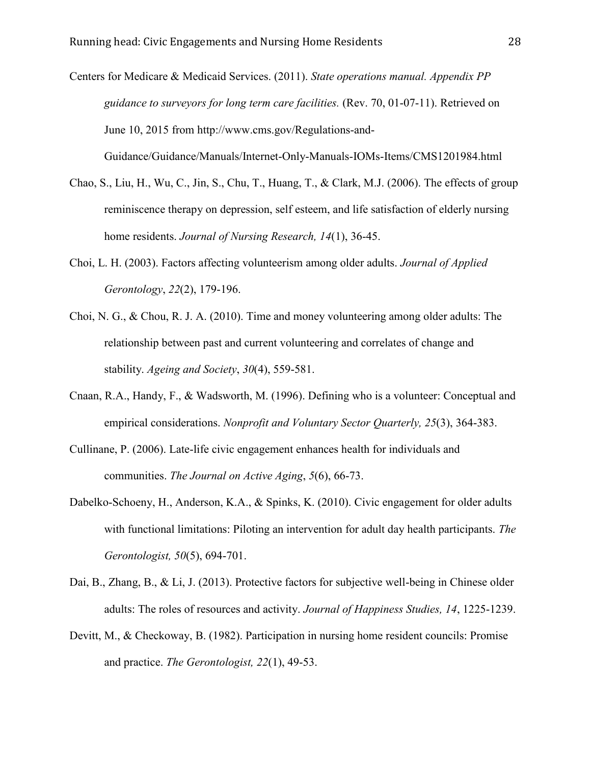Centers for Medicare & Medicaid Services. (2011). *State operations manual. Appendix PP guidance to surveyors for long term care facilities.* (Rev. 70, 01-07-11). Retrieved on June 10, 2015 from [http://www.cms.gov/Regulations-and-](http://www.cms.gov/Regulations-and-%09Guidance/Guidance/Manuals/Internet-Only-Manuals-IOMs-Items/CMS1201984.html)

Chao, S., Liu, H., Wu, C., Jin, S., Chu, T., Huang, T., & Clark, M.J. (2006). The effects of group reminiscence therapy on depression, self esteem, and life satisfaction of elderly nursing

[Guidance/Guidance/Manuals/Internet-Only-Manuals-IOMs-Items/CMS1201984.html](http://www.cms.gov/Regulations-and-%09Guidance/Guidance/Manuals/Internet-Only-Manuals-IOMs-Items/CMS1201984.html)

home residents. *Journal of Nursing Research, 14*(1), 36-45.

- Choi, L. H. (2003). Factors affecting volunteerism among older adults. *Journal of Applied Gerontology*, *22*(2), 179-196.
- Choi, N. G., & Chou, R. J. A. (2010). Time and money volunteering among older adults: The relationship between past and current volunteering and correlates of change and stability. *Ageing and Society*, *30*(4), 559-581.
- Cnaan, R.A., Handy, F., & Wadsworth, M. (1996). Defining who is a volunteer: Conceptual and empirical considerations. *Nonprofit and Voluntary Sector Quarterly, 25*(3), 364-383.
- Cullinane, P. (2006). Late-life civic engagement enhances health for individuals and communities. *The Journal on Active Aging*, *5*(6), 66-73.
- Dabelko-Schoeny, H., Anderson, K.A., & Spinks, K. (2010). Civic engagement for older adults with functional limitations: Piloting an intervention for adult day health participants. *The Gerontologist, 50*(5), 694-701.
- Dai, B., Zhang, B., & Li, J. (2013). Protective factors for subjective well-being in Chinese older adults: The roles of resources and activity. *Journal of Happiness Studies, 14*, 1225-1239.
- Devitt, M., & Checkoway, B. (1982). Participation in nursing home resident councils: Promise and practice. *The Gerontologist, 22*(1), 49-53.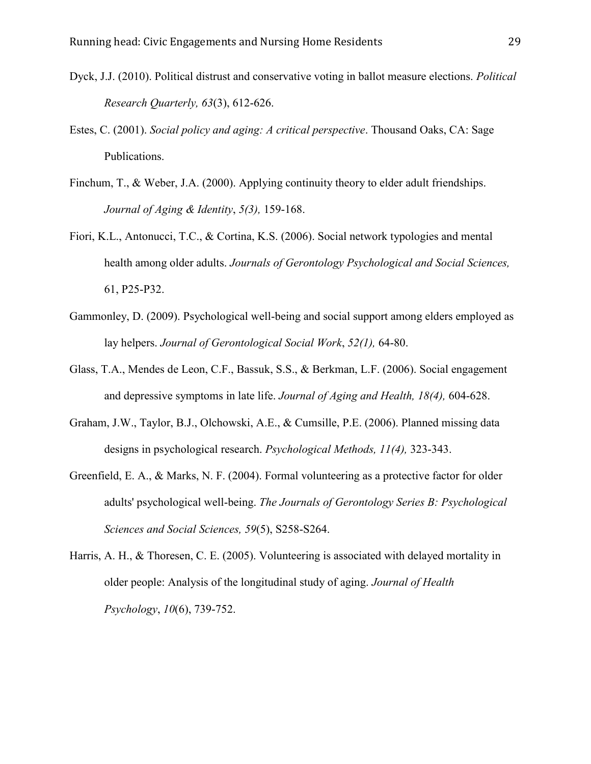- Dyck, J.J. (2010). Political distrust and conservative voting in ballot measure elections. *Political Research Quarterly, 63*(3), 612-626.
- Estes, C. (2001). *Social policy and aging: A critical perspective*. Thousand Oaks, CA: Sage Publications.
- Finchum, T., & Weber, J.A. (2000). Applying continuity theory to elder adult friendships. *Journal of Aging & Identity*, *5(3),* 159-168.
- Fiori, K.L., Antonucci, T.C., & Cortina, K.S. (2006). Social network typologies and mental health among older adults. *Journals of Gerontology Psychological and Social Sciences,* 61, P25-P32.
- Gammonley, D. (2009). Psychological well-being and social support among elders employed as lay helpers. *Journal of Gerontological Social Work*, *52(1),* 64-80.
- Glass, T.A., Mendes de Leon, C.F., Bassuk, S.S., & Berkman, L.F. (2006). Social engagement and depressive symptoms in late life. *Journal of Aging and Health, 18(4),* 604-628.
- Graham, J.W., Taylor, B.J., Olchowski, A.E., & Cumsille, P.E. (2006). Planned missing data designs in psychological research. *Psychological Methods, 11(4),* 323-343.
- Greenfield, E. A., & Marks, N. F. (2004). Formal volunteering as a protective factor for older adults' psychological well-being. *The Journals of Gerontology Series B: Psychological Sciences and Social Sciences, 59*(5), S258-S264.
- Harris, A. H., & Thoresen, C. E. (2005). Volunteering is associated with delayed mortality in older people: Analysis of the longitudinal study of aging. *Journal of Health Psychology*, *10*(6), 739-752.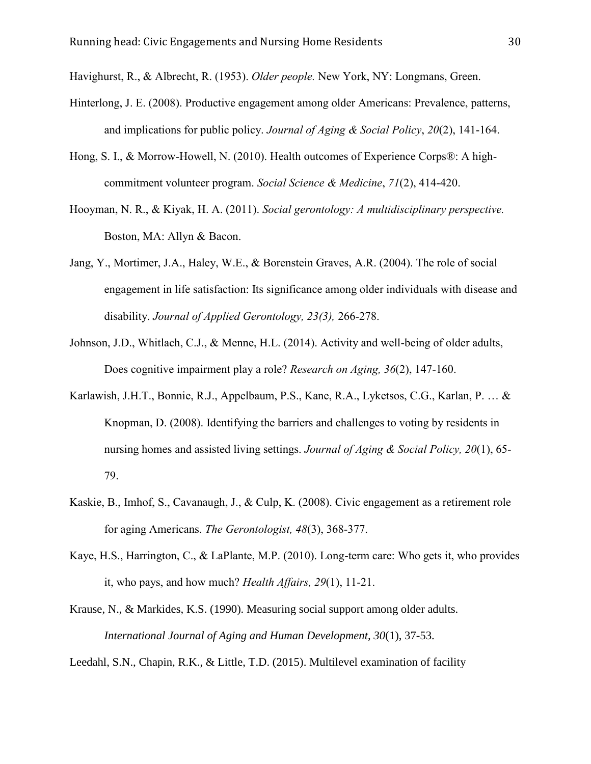Havighurst, R., & Albrecht, R. (1953). *Older people.* New York, NY: Longmans, Green.

- Hinterlong, J. E. (2008). Productive engagement among older Americans: Prevalence, patterns, and implications for public policy. *Journal of Aging & Social Policy*, *20*(2), 141-164.
- Hong, S. I., & Morrow-Howell, N. (2010). Health outcomes of Experience Corps®: A highcommitment volunteer program. *Social Science & Medicine*, *71*(2), 414-420.
- Hooyman, N. R., & Kiyak, H. A. (2011). *Social gerontology: A multidisciplinary perspective.*  Boston, MA: Allyn & Bacon.
- Jang, Y., Mortimer, J.A., Haley, W.E., & Borenstein Graves, A.R. (2004). The role of social engagement in life satisfaction: Its significance among older individuals with disease and disability. *Journal of Applied Gerontology, 23(3),* 266-278.
- Johnson, J.D., Whitlach, C.J., & Menne, H.L. (2014). Activity and well-being of older adults, Does cognitive impairment play a role? *Research on Aging, 36*(2), 147-160.
- Karlawish, J.H.T., Bonnie, R.J., Appelbaum, P.S., Kane, R.A., Lyketsos, C.G., Karlan, P. … & Knopman, D. (2008). Identifying the barriers and challenges to voting by residents in nursing homes and assisted living settings. *Journal of Aging & Social Policy, 20*(1), 65- 79.
- Kaskie, B., Imhof, S., Cavanaugh, J., & Culp, K. (2008). Civic engagement as a retirement role for aging Americans. *The Gerontologist, 48*(3), 368-377.
- Kaye, H.S., Harrington, C., & LaPlante, M.P. (2010). Long-term care: Who gets it, who provides it, who pays, and how much? *Health Affairs, 29*(1), 11-21.
- Krause, N., & Markides, K.S. (1990). Measuring social support among older adults. *International Journal of Aging and Human Development, 30*(1), 37-53.

Leedahl, S.N., Chapin, R.K., & Little, T.D. (2015). Multilevel examination of facility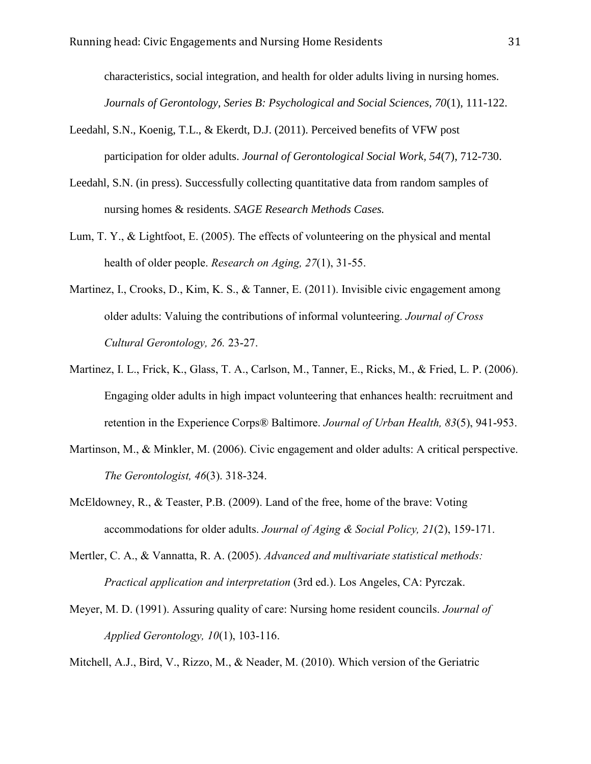characteristics, social integration, and health for older adults living in nursing homes. *Journals of Gerontology, Series B: Psychological and Social Sciences, 70*(1), 111-122.

- Leedahl, S.N., Koenig, T.L., & Ekerdt, D.J. (2011). Perceived benefits of VFW post participation for older adults. *Journal of Gerontological Social Work, 54*(7), 712-730.
- Leedahl, S.N. (in press). Successfully collecting quantitative data from random samples of nursing homes & residents. *SAGE Research Methods Cases.*
- Lum, T. Y., & Lightfoot, E. (2005). The effects of volunteering on the physical and mental health of older people. *Research on Aging, 27*(1), 31-55.
- Martinez, I., Crooks, D., Kim, K. S., & Tanner, E. (2011). Invisible civic engagement among older adults: Valuing the contributions of informal volunteering. *Journal of Cross Cultural Gerontology, 26.* 23-27.
- Martinez, I. L., Frick, K., Glass, T. A., Carlson, M., Tanner, E., Ricks, M., & Fried, L. P. (2006). Engaging older adults in high impact volunteering that enhances health: recruitment and retention in the Experience Corps® Baltimore. *Journal of Urban Health, 83*(5), 941-953.
- Martinson, M., & Minkler, M. (2006). Civic engagement and older adults: A critical perspective. *The Gerontologist, 46*(3). 318-324.
- McEldowney, R., & Teaster, P.B. (2009). Land of the free, home of the brave: Voting accommodations for older adults. *Journal of Aging & Social Policy, 21*(2), 159-171.
- Mertler, C. A., & Vannatta, R. A. (2005). *Advanced and multivariate statistical methods: Practical application and interpretation* (3rd ed.). Los Angeles, CA: Pyrczak.
- Meyer, M. D. (1991). Assuring quality of care: Nursing home resident councils. *Journal of Applied Gerontology, 10*(1), 103-116.

Mitchell, A.J., Bird, V., Rizzo, M., & Neader, M. (2010). Which version of the Geriatric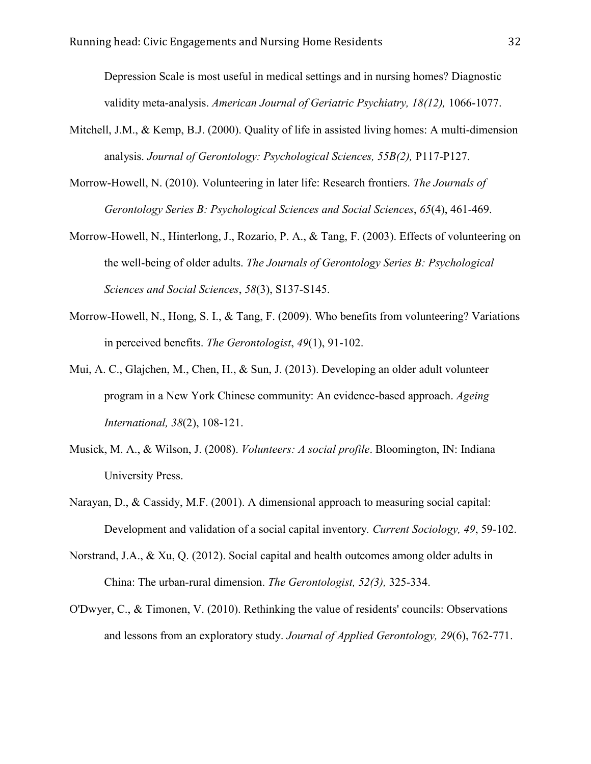Depression Scale is most useful in medical settings and in nursing homes? Diagnostic validity meta-analysis. *American Journal of Geriatric Psychiatry, 18(12),* 1066-1077.

- Mitchell, J.M., & Kemp, B.J. (2000). Quality of life in assisted living homes: A multi-dimension analysis. *Journal of Gerontology: Psychological Sciences, 55B(2),* P117-P127.
- Morrow-Howell, N. (2010). Volunteering in later life: Research frontiers. *The Journals of Gerontology Series B: Psychological Sciences and Social Sciences*, *65*(4), 461-469.
- Morrow-Howell, N., Hinterlong, J., Rozario, P. A., & Tang, F. (2003). Effects of volunteering on the well-being of older adults. *The Journals of Gerontology Series B: Psychological Sciences and Social Sciences*, *58*(3), S137-S145.
- Morrow-Howell, N., Hong, S. I., & Tang, F. (2009). Who benefits from volunteering? Variations in perceived benefits. *The Gerontologist*, *49*(1), 91-102.
- Mui, A. C., Glajchen, M., Chen, H., & Sun, J. (2013). Developing an older adult volunteer program in a New York Chinese community: An evidence-based approach. *Ageing International, 38*(2), 108-121.
- Musick, M. A., & Wilson, J. (2008). *Volunteers: A social profile*. Bloomington, IN: Indiana University Press.
- Narayan, D., & Cassidy, M.F. (2001). A dimensional approach to measuring social capital: Development and validation of a social capital inventory*. Current Sociology, 49*, 59-102.
- Norstrand, J.A., & Xu, Q. (2012). Social capital and health outcomes among older adults in China: The urban-rural dimension. *The Gerontologist, 52(3),* 325-334.
- O'Dwyer, C., & Timonen, V. (2010). Rethinking the value of residents' councils: Observations and lessons from an exploratory study. *Journal of Applied Gerontology, 29*(6), 762-771.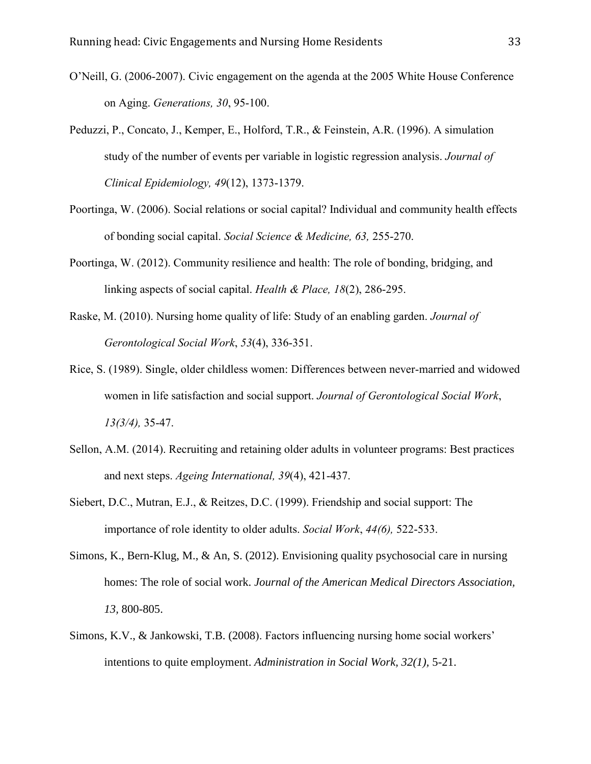- O'Neill, G. (2006-2007). Civic engagement on the agenda at the 2005 White House Conference on Aging. *Generations, 30*, 95-100.
- Peduzzi, P., Concato, J., Kemper, E., Holford, T.R., & Feinstein, A.R. (1996). A simulation study of the number of events per variable in logistic regression analysis. *Journal of Clinical Epidemiology, 49*(12), 1373-1379.
- Poortinga, W. (2006). Social relations or social capital? Individual and community health effects of bonding social capital. *Social Science & Medicine, 63,* 255-270.
- Poortinga, W. (2012). Community resilience and health: The role of bonding, bridging, and linking aspects of social capital. *Health & Place, 18*(2), 286-295.
- Raske, M. (2010). Nursing home quality of life: Study of an enabling garden. *Journal of Gerontological Social Work*, *53*(4), 336-351.
- Rice, S. (1989). Single, older childless women: Differences between never-married and widowed women in life satisfaction and social support. *Journal of Gerontological Social Work*, *13(3/4),* 35-47.
- Sellon, A.M. (2014). Recruiting and retaining older adults in volunteer programs: Best practices and next steps. *Ageing International, 39*(4), 421-437.
- Siebert, D.C., Mutran, E.J., & Reitzes, D.C. (1999). Friendship and social support: The importance of role identity to older adults. *Social Work*, *44(6),* 522-533.
- Simons, K., Bern-Klug, M., & An, S. (2012). Envisioning quality psychosocial care in nursing homes: The role of social work. *Journal of the American Medical Directors Association, 13,* 800-805.
- Simons, K.V., & Jankowski, T.B. (2008). Factors influencing nursing home social workers' intentions to quite employment. *Administration in Social Work, 32(1),* 5-21.